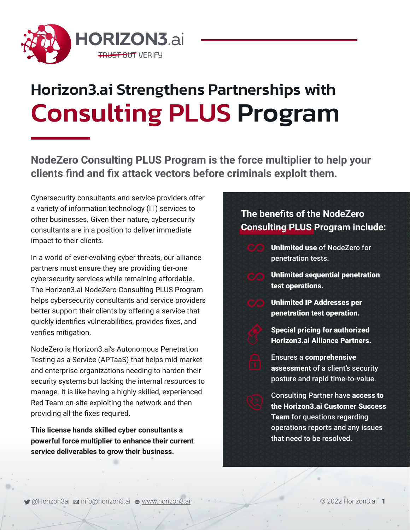

# Horizon3.ai Strengthens Partnerships with Consulting PLUS Program

**NodeZero Consulting PLUS Program is the force multiplier to help your clients find and fix attack vectors before criminals exploit them.** 

Cybersecurity consultants and service providers offer a variety of information technology (IT) services to other businesses. Given their nature, cybersecurity consultants are in a position to deliver immediate impact to their clients.

In a world of ever-evolving cyber threats, our alliance partners must ensure they are providing tier-one cybersecurity services while remaining affordable. The Horizon3.ai NodeZero Consulting PLUS Program helps cybersecurity consultants and service providers better support their clients by offering a service that quickly identifies vulnerabilities, provides fixes, and verifies mitigation.

NodeZero is Horizon3.ai's Autonomous Penetration Testing as a Service (APTaaS) that helps mid-market and enterprise organizations needing to harden their security systems but lacking the internal resources to manage. It is like having a highly skilled, experienced Red Team on-site exploiting the network and then providing all the fixes required.

**This license hands skilled cyber consultants a powerful force multiplier to enhance their current service deliverables to grow their business.** 

## **The benefits of the NodeZero Consulting PLUS Program include:**



Unlimited sequential penetration test operations.

Unlimited IP Addresses per penetration test operation.

Special pricing for authorized Horizon3.ai Alliance Partners.

Ensures a comprehensive assessment of a client's security posture and rapid time-to-value.

Consulting Partner have access to the Horizon3.ai Customer Success Team for questions regarding operations reports and any issues that need to be resolved.